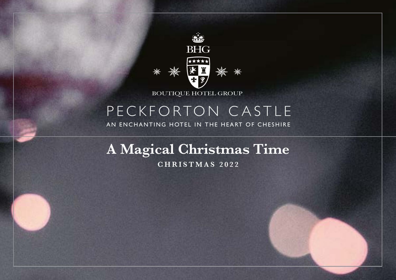

# PECKFORTON CASTLE

AN ENCHANTING HOTEL IN THE HEART OF CHESHIRE

**A Magical Christmas Time C H R I S T M A S 2 0 2 2**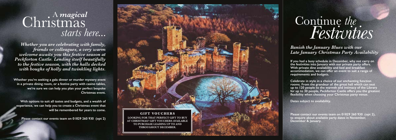*Whether you are celebrating with family, friends or colleagues, a very warm welcome awaits you this festive season at Peckforton Castle. Lending itself beautifully to the festive season, with the halls decked with boughs of holly and twinkling lights.*

**Whether you're seeking a gala dinner or murder mystery event in a private dining room, or a festive party with casino tables, we're sure we can help you plan your perfect bespoke Christmas event.**

**With options to suit all tastes and budgets, and a wealth of experience, we can help you to create a Christmas event that will be remembered for years to come.**

**Please contact our events team on 01829 260 930 (opt 2)**

# Christmas *starts here...* A *magical*



*Banish the January Blues with our Late January Christmas Party Availability*

**If you had a busy schedule in December, why not carry on the festivities into January with our private party offers. With private dine availability and bed and breakfast accommodation, we can offer an event to suit a range of requirements and budgets. Celebrate in style in a choice of our enchanting function**

**rooms. From the grandeur of the great hall which can seat up to 120 people to the warmth and intimacy of the Library for up to 30 people, Peckforton Castle offers you the greatest flexibility when choosing your Christmas party venue.**

**Dates subject to availability.**

**Please contact our events team on 01829 260 930 (opt 2), to enquire about available party dates in November, December & January.**

# Continue *the Festivities*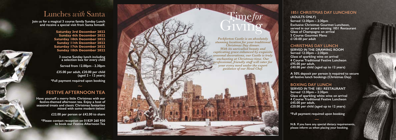## **FESTIVE AFTERNOON TEA**

**Have yourself a merry little Christmas with our festive-themed afternoon tea. Enjoy a host of seasonal treats and classic Christmas favourites mixed with some modern twists!**

**£22.00 per person or £42.00 to share**

**\*Please contact reception on 01829 260 930 to book our Festive Afternoon Tea**

**\*Full payment required upon booking**

**Join us for a magical 3 course family Sunday Lunch and receive a special visit from Santa himself.**

> **Saturday 3rd December 2022 Sunday 4th December 2022 Saturday 10th December 2022 Sunday 11th December 2022 Saturday 17th December 2022 Sunday 18th December 2022**

**3 course Sunday lunch including a selection box for every child**

**Served from 12.00pm - 2.30pm**

**£35.00 per adult, £20.00 per child (aged 2 – 12 years)**

# Lunches *with* Santa

# Giving Time*for*

#### **1851 CHRISTMAS DAY LUNCHEON**

**(ADULTS ONLY) Served 12:30pm – 2:30pm Exclusive Christmas Gourmet Luncheon, served in our award winning 1851 Restaurant Glass of Champagne on arrival 5 Course Gourmet Menu £120.00 per adult**

#### **CHRISTMAS DAY LUNCH**

**SERVED IN THE DRAWING ROOM Served 12:30pm – 2:30pm Glass of sparkling wine on arrival 4 Course Traditional Festive Luncheon £95.00 per adult, £40.00 per child (aged up to 12 years)**

**A 50% deposit per person is required to secure all festive lunch bookings (Christmas Day)**

#### **BOXING DAY LUNCH**

**SERVED IN THE 1851 RESTAURANT Served 12:30pm – 2:30pm Glass of sparkling white wine on arrival 4 Course Traditional Festive Luncheon £45.00 per adult,**

**£20.00 per child (aged up to 12 years)**

**N.B. If you have any special dietary requirements, please inform us when placing your booking.**

**\*Full payment required upon booking** *~*

*Peckforton Castle is an absolutely stunning location for your traditional Christmas Day dinner. With its unrivalled beauty and captivating grace enhanced by exquisite seasonal decorations, our Castle is truly enchanting at Christmas time. Our professional, friendly staff will cater for your every need under the expert guidance of our Head Chef.*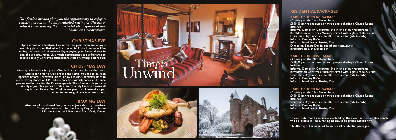





*Our festive breaks give you the opportunity to enjoy a relaxing break in the unparalleled setting of Cheshire, whilst experiencing the wonderful atmosphere of our Christmas Celebrations.*

**Upon arrival on Christmas Eve settle into your room and enjoy a warming glass of mulled wine & a mince pie. From 6pm we will be serving a festive cocktail followed by enjoying your festive dinner in one of our restaurants. Live music performance in our bar area to create a lovely Christmas atmosphere with a nightcap before bed.**

**After light breakfast & a glass of bucks fizz to toast the celebrations. Guests can enjoy a walk around the castle grounds to build an appetite before Christmas Lunch. Enjoy a lavish Christmas lunch in our Drawing Room or 1851 adults only Restaurant, coffee and mince pies served in time for the Queens speech. The afternoon is yours to simply enjoy, play games or relax. enjoy family friendly movies all day in the Library. Our Chef invites you to an informal supper served in one magnificent function rooms.**

> **After an informal breakfast you can enjoy a day to yourselves. Treat yourselves to a festive Boxing Day lunch in the 1851 restaurant with live music from Craig Owen.**

### **CHRISTMAS EVE**

## **CHRISTMAS DAY**

## **BOXING DAY**

### **RESIDENTIAL PACKAGES**

#### **3 NIGHT CHRISTMAS PACKAGE**

**(Arriving on the 24th December) £850.00 per room based on two people sharing a Classic Room**

**Includes:**

**Informal Dinner on Christmas Eve in one of our restaurants Breakfast on Christmas Morning served with a glass of Bucks Fizz Christmas Day Lunch in the 1851 Restaurant (adults-only) Informal Evening Buffet**

**Informal breakfast on Boxing Day**

**Dinner on Boxing Day in one of our restaurants**

**Breakfast on 27th December**

#### **2 NIGHT CHRISTMAS PACKAGE**

**(Arriving on the 24th December) £650.00 per room based on two people sharing a Classic Room**

**Includes:**

**Informal Dinner on Christmas Eve in one of our restaurants Breakfast on Christmas Morning served with a glass of Bucks Fizz Christmas Day Lunch in the 1851 Restaurant (adults-only) Informal Evening Buffet**

**Informal breakfast on Boxing Day**

**£450.00 per room based on two people sharing a Classic Room**

**1 NIGHT CHRISTMAS PACKAGE (Arriving on the 25th December) Includes: Informal Evening Buffet Informal breakfast on Boxing Day**

**Christmas Day Lunch in the 1851 Restaurant (adults-only)**

**\*Please note that if children are attending, then your Christmas Day Lunch will be located in The Drawing Room, to be priced accordingly.**

**\*A 50% deposit is required to secure all residential packages.**